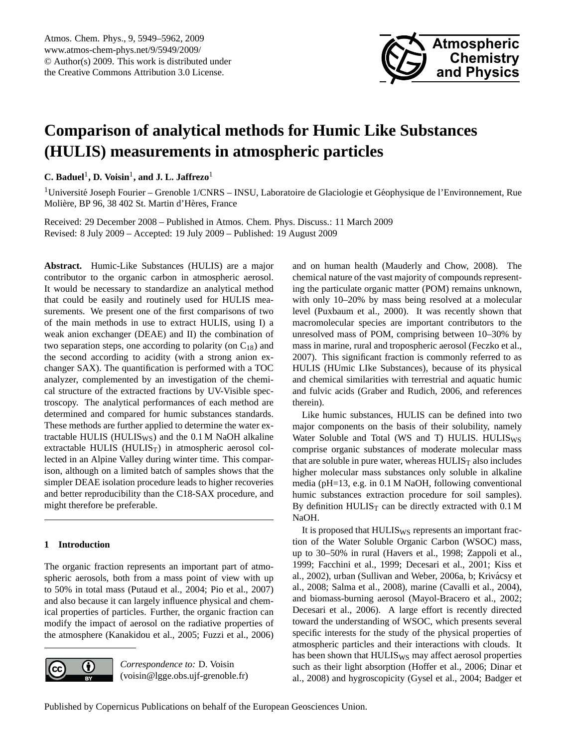

# <span id="page-0-0"></span>**Comparison of analytical methods for Humic Like Substances (HULIS) measurements in atmospheric particles**

**C.** Baduel<sup>1</sup>, D. Voisin<sup>1</sup>, and J. L. Jaffrezo<sup>1</sup>

 $1$ Université Joseph Fourier – Grenoble  $1/CNRS - INSU$ , Laboratoire de Glaciologie et Géophysique de l'Environnement, Rue Molière, BP 96, 38 402 St. Martin d'Hères, France

Received: 29 December 2008 – Published in Atmos. Chem. Phys. Discuss.: 11 March 2009 Revised: 8 July 2009 – Accepted: 19 July 2009 – Published: 19 August 2009

**Abstract.** Humic-Like Substances (HULIS) are a major contributor to the organic carbon in atmospheric aerosol. It would be necessary to standardize an analytical method that could be easily and routinely used for HULIS measurements. We present one of the first comparisons of two of the main methods in use to extract HULIS, using I) a weak anion exchanger (DEAE) and II) the combination of two separation steps, one according to polarity (on  $C_{18}$ ) and the second according to acidity (with a strong anion exchanger SAX). The quantification is performed with a TOC analyzer, complemented by an investigation of the chemical structure of the extracted fractions by UV-Visible spectroscopy. The analytical performances of each method are determined and compared for humic substances standards. These methods are further applied to determine the water extractable HULIS (HULIS $_{WS}$ ) and the 0.1 M NaOH alkaline extractable HULIS (HULIS $_T$ ) in atmospheric aerosol collected in an Alpine Valley during winter time. This comparison, although on a limited batch of samples shows that the simpler DEAE isolation procedure leads to higher recoveries and better reproducibility than the C18-SAX procedure, and might therefore be preferable.

## **1 Introduction**

The organic fraction represents an important part of atmospheric aerosols, both from a mass point of view with up to 50% in total mass (Putaud et al., 2004; Pio et al., 2007) and also because it can largely influence physical and chemical properties of particles. Further, the organic fraction can modify the impact of aerosol on the radiative properties of the atmosphere (Kanakidou et al., 2005; Fuzzi et al., 2006)



*Correspondence to:* D. Voisin (voisin@lgge.obs.ujf-grenoble.fr) and on human health (Mauderly and Chow, 2008). The chemical nature of the vast majority of compounds representing the particulate organic matter (POM) remains unknown, with only 10–20% by mass being resolved at a molecular level (Puxbaum et al., 2000). It was recently shown that macromolecular species are important contributors to the unresolved mass of POM, comprising between 10–30% by mass in marine, rural and tropospheric aerosol (Feczko et al., 2007). This significant fraction is commonly referred to as HULIS (HUmic LIke Substances), because of its physical and chemical similarities with terrestrial and aquatic humic and fulvic acids (Graber and Rudich, 2006, and references therein).

Like humic substances, HULIS can be defined into two major components on the basis of their solubility, namely Water Soluble and Total (WS and T) HULIS. HULIS<sub>WS</sub> comprise organic substances of moderate molecular mass that are soluble in pure water, whereas  $HULIS<sub>T</sub>$  also includes higher molecular mass substances only soluble in alkaline media (pH=13, e.g. in 0.1 M NaOH, following conventional humic substances extraction procedure for soil samples). By definition  $HULIS_T$  can be directly extracted with 0.1 M NaOH.

It is proposed that HULIS<sub>WS</sub> represents an important fraction of the Water Soluble Organic Carbon (WSOC) mass, up to 30–50% in rural (Havers et al., 1998; Zappoli et al., 1999; Facchini et al., 1999; Decesari et al., 2001; Kiss et al., 2002), urban (Sullivan and Weber, 2006a, b; Krivácsy et al., 2008; Salma et al., 2008), marine (Cavalli et al., 2004), and biomass-burning aerosol (Mayol-Bracero et al., 2002; Decesari et al., 2006). A large effort is recently directed toward the understanding of WSOC, which presents several specific interests for the study of the physical properties of atmospheric particles and their interactions with clouds. It has been shown that HULIS<sub>WS</sub> may affect aerosol properties such as their light absorption (Hoffer et al., 2006; Dinar et al., 2008) and hygroscopicity (Gysel et al., 2004; Badger et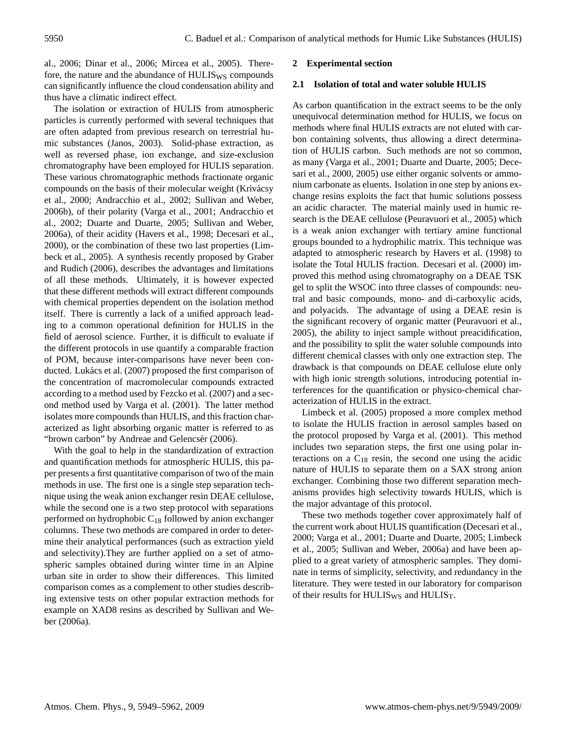al., 2006; Dinar et al., 2006; Mircea et al., 2005). Therefore, the nature and the abundance of  $HULIS_{WS}$  compounds can significantly influence the cloud condensation ability and thus have a climatic indirect effect.

The isolation or extraction of HULIS from atmospheric particles is currently performed with several techniques that are often adapted from previous research on terrestrial humic substances (Janos, 2003). Solid-phase extraction, as well as reversed phase, ion exchange, and size-exclusion chromatography have been employed for HULIS separation. These various chromatographic methods fractionate organic compounds on the basis of their molecular weight (Krivácsy et al., 2000; Andracchio et al., 2002; Sullivan and Weber, 2006b), of their polarity (Varga et al., 2001; Andracchio et al., 2002; Duarte and Duarte, 2005; Sullivan and Weber, 2006a), of their acidity (Havers et al., 1998; Decesari et al., 2000), or the combination of these two last properties (Limbeck et al., 2005). A synthesis recently proposed by Graber and Rudich (2006), describes the advantages and limitations of all these methods. Ultimately, it is however expected that these different methods will extract different compounds with chemical properties dependent on the isolation method itself. There is currently a lack of a unified approach leading to a common operational definition for HULIS in the field of aerosol science. Further, it is difficult to evaluate if the different protocols in use quantify a comparable fraction of POM, because inter-comparisons have never been conducted. Lukács et al. (2007) proposed the first comparison of the concentration of macromolecular compounds extracted according to a method used by Fezcko et al. (2007) and a second method used by Varga et al. (2001). The latter method isolates more compounds than HULIS, and this fraction characterized as light absorbing organic matter is referred to as "brown carbon" by Andreae and Gelencsér (2006).

With the goal to help in the standardization of extraction and quantification methods for atmospheric HULIS, this paper presents a first quantitative comparison of two of the main methods in use. The first one is a single step separation technique using the weak anion exchanger resin DEAE cellulose, while the second one is a two step protocol with separations performed on hydrophobic  $C_{18}$  followed by anion exchanger columns. These two methods are compared in order to determine their analytical performances (such as extraction yield and selectivity).They are further applied on a set of atmospheric samples obtained during winter time in an Alpine urban site in order to show their differences. This limited comparison comes as a complement to other studies describing extensive tests on other popular extraction methods for example on XAD8 resins as described by Sullivan and Weber (2006a).

## **2 Experimental section**

## **2.1 Isolation of total and water soluble HULIS**

As carbon quantification in the extract seems to be the only unequivocal determination method for HULIS, we focus on methods where final HULIS extracts are not eluted with carbon containing solvents, thus allowing a direct determination of HULIS carbon. Such methods are not so common, as many (Varga et al., 2001; Duarte and Duarte, 2005; Decesari et al., 2000, 2005) use either organic solvents or ammonium carbonate as eluents. Isolation in one step by anions exchange resins exploits the fact that humic solutions possess an acidic character. The material mainly used in humic research is the DEAE cellulose (Peuravuori et al., 2005) which is a weak anion exchanger with tertiary amine functional groups bounded to a hydrophilic matrix. This technique was adapted to atmospheric research by Havers et al. (1998) to isolate the Total HULIS fraction. Decesari et al. (2000) improved this method using chromatography on a DEAE TSK gel to split the WSOC into three classes of compounds: neutral and basic compounds, mono- and di-carboxylic acids, and polyacids. The advantage of using a DEAE resin is the significant recovery of organic matter (Peuravuori et al., 2005), the ability to inject sample without preacidification, and the possibility to split the water soluble compounds into different chemical classes with only one extraction step. The drawback is that compounds on DEAE cellulose elute only with high ionic strength solutions, introducing potential interferences for the quantification or physico-chemical characterization of HULIS in the extract.

Limbeck et al. (2005) proposed a more complex method to isolate the HULIS fraction in aerosol samples based on the protocol proposed by Varga et al. (2001). This method includes two separation steps, the first one using polar interactions on a  $C_{18}$  resin, the second one using the acidic nature of HULIS to separate them on a SAX strong anion exchanger. Combining those two different separation mechanisms provides high selectivity towards HULIS, which is the major advantage of this protocol.

These two methods together cover approximately half of the current work about HULIS quantification (Decesari et al., 2000; Varga et al., 2001; Duarte and Duarte, 2005; Limbeck et al., 2005; Sullivan and Weber, 2006a) and have been applied to a great variety of atmospheric samples. They dominate in terms of simplicity, selectivity, and redundancy in the literature. They were tested in our laboratory for comparison of their results for HULIS<sub>WS</sub> and HULIS<sub>T</sub>.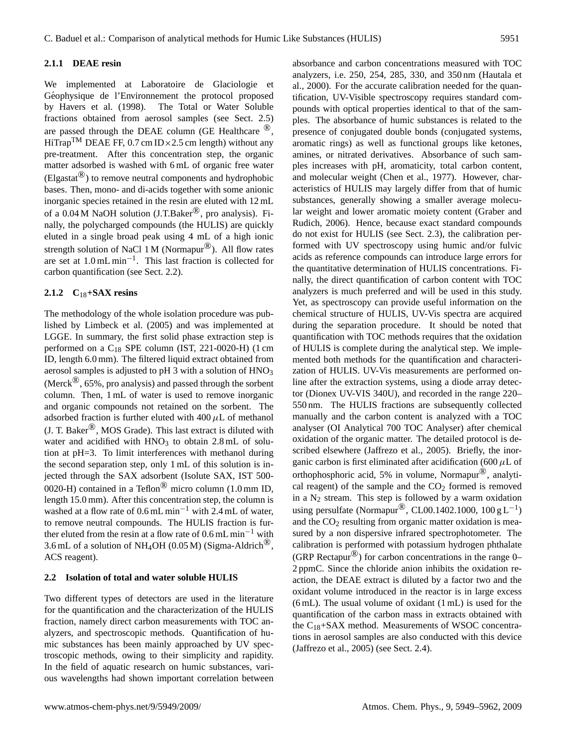## **2.1.1 DEAE resin**

We implemented at Laboratoire de Glaciologie et Géophysique de l'Environnement the protocol proposed by Havers et al. (1998). The Total or Water Soluble fractions obtained from aerosol samples (see Sect. 2.5) are passed through the DEAE column (GE Healthcare  $\mathbb{R}^8$ , HiTrap<sup>TM</sup> DEAE FF, 0.7 cm ID × 2.5 cm length) without any pre-treatment. After this concentration step, the organic matter adsorbed is washed with 6 mL of organic free water  $(Elgastat^{(8)})$  to remove neutral components and hydrophobic bases. Then, mono- and di-acids together with some anionic inorganic species retained in the resin are eluted with 12 mL of a 0.04 M NaOH solution (J.T.Baker<sup>®</sup>, pro analysis). Finally, the polycharged compounds (the HULIS) are quickly eluted in a single broad peak using 4 mL of a high ionic strength solution of NaCl 1 M (Normapur<sup>®</sup>). All flow rates are set at 1.0 mL min−<sup>1</sup> . This last fraction is collected for carbon quantification (see Sect. 2.2).

## **2.1.2 C**18**+SAX resins**

The methodology of the whole isolation procedure was published by Limbeck et al. (2005) and was implemented at LGGE. In summary, the first solid phase extraction step is performed on a  $C_{18}$  SPE column (IST, 221-0020-H) (1 cm ID, length 6.0 mm). The filtered liquid extract obtained from aerosol samples is adjusted to pH 3 with a solution of HNO<sup>3</sup> (Merck<sup>®</sup>, 65%, pro analysis) and passed through the sorbent column. Then, 1 mL of water is used to remove inorganic and organic compounds not retained on the sorbent. The adsorbed fraction is further eluted with  $400 \mu L$  of methanol (J. T. Baker®, MOS Grade). This last extract is diluted with water and acidified with  $HNO<sub>3</sub>$  to obtain 2.8 mL of solution at pH=3. To limit interferences with methanol during the second separation step, only 1 mL of this solution is injected through the SAX adsorbent (Isolute SAX, IST 500- 0020-H) contained in a Teflon<sup>®</sup> micro column (1.0 mm ID, length 15.0 mm). After this concentration step, the column is washed at a flow rate of 0.6 mL min−<sup>1</sup> with 2.4 mL of water, to remove neutral compounds. The HULIS fraction is further eluted from the resin at a flow rate of  $0.6$  mL min<sup>-1</sup> with 3.6 mL of a solution of NH<sub>4</sub>OH (0.05 M) (Sigma-Aldrich<sup>®</sup>, ACS reagent).

## **2.2 Isolation of total and water soluble HULIS**

Two different types of detectors are used in the literature for the quantification and the characterization of the HULIS fraction, namely direct carbon measurements with TOC analyzers, and spectroscopic methods. Quantification of humic substances has been mainly approached by UV spectroscopic methods, owing to their simplicity and rapidity. In the field of aquatic research on humic substances, various wavelengths had shown important correlation between absorbance and carbon concentrations measured with TOC analyzers, i.e. 250, 254, 285, 330, and 350 nm (Hautala et al., 2000). For the accurate calibration needed for the quantification, UV-Visible spectroscopy requires standard compounds with optical properties identical to that of the samples. The absorbance of humic substances is related to the presence of conjugated double bonds (conjugated systems, aromatic rings) as well as functional groups like ketones, amines, or nitrated derivatives. Absorbance of such samples increases with pH, aromaticity, total carbon content, and molecular weight (Chen et al., 1977). However, characteristics of HULIS may largely differ from that of humic substances, generally showing a smaller average molecular weight and lower aromatic moiety content (Graber and Rudich, 2006). Hence, because exact standard compounds do not exist for HULIS (see Sect. 2.3), the calibration performed with UV spectroscopy using humic and/or fulvic acids as reference compounds can introduce large errors for the quantitative determination of HULIS concentrations. Finally, the direct quantification of carbon content with TOC analyzers is much preferred and will be used in this study. Yet, as spectroscopy can provide useful information on the chemical structure of HULIS, UV-Vis spectra are acquired during the separation procedure. It should be noted that quantification with TOC methods requires that the oxidation of HULIS is complete during the analytical step. We implemented both methods for the quantification and characterization of HULIS. UV-Vis measurements are performed online after the extraction systems, using a diode array detector (Dionex UV-VIS 340U), and recorded in the range 220– 550 nm. The HULIS fractions are subsequently collected manually and the carbon content is analyzed with a TOC analyser (OI Analytical 700 TOC Analyser) after chemical oxidation of the organic matter. The detailed protocol is described elsewhere (Jaffrezo et al., 2005). Briefly, the inorganic carbon is first eliminated after acidification (600  $\mu$ L of orthophosphoric acid, 5% in volume, Normapur®, analytical reagent) of the sample and the  $CO<sub>2</sub>$  formed is removed in a  $N_2$  stream. This step is followed by a warm oxidation using persulfate (Normapur<sup>®</sup>, CL00.1402.1000, 100 g L<sup>-1</sup>) and the  $CO<sub>2</sub>$  resulting from organic matter oxidation is measured by a non dispersive infrared spectrophotometer. The calibration is performed with potassium hydrogen phthalate (GRP Rectapur<sup>®</sup>) for carbon concentrations in the range 0– 2 ppmC. Since the chloride anion inhibits the oxidation reaction, the DEAE extract is diluted by a factor two and the oxidant volume introduced in the reactor is in large excess (6 mL). The usual volume of oxidant (1 mL) is used for the quantification of the carbon mass in extracts obtained with the  $C_{18}$ +SAX method. Measurements of WSOC concentrations in aerosol samples are also conducted with this device (Jaffrezo et al., 2005) (see Sect. 2.4).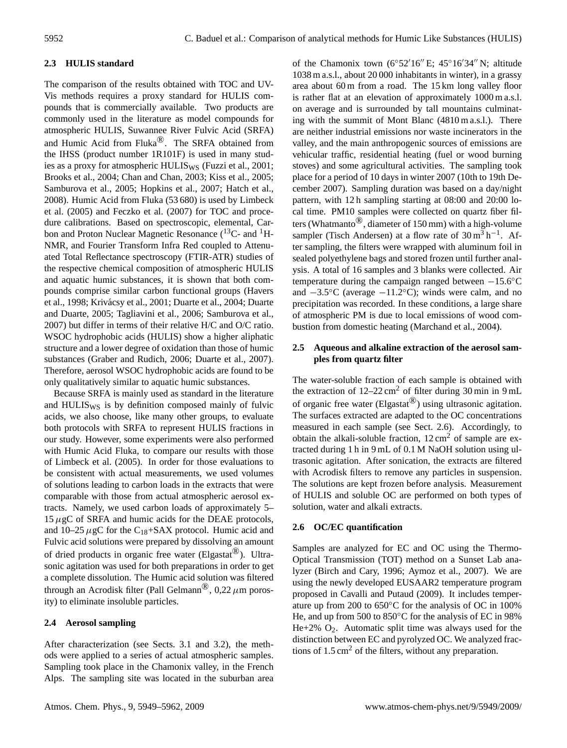# **2.3 HULIS standard**

The comparison of the results obtained with TOC and UV-Vis methods requires a proxy standard for HULIS compounds that is commercially available. Two products are commonly used in the literature as model compounds for atmospheric HULIS, Suwannee River Fulvic Acid (SRFA) and Humic Acid from Fluka®. The SRFA obtained from the IHSS (product number 1R101F) is used in many studies as a proxy for atmospheric HULIS<sub>WS</sub> (Fuzzi et al., 2001; Brooks et al., 2004; Chan and Chan, 2003; Kiss et al., 2005; Samburova et al., 2005; Hopkins et al., 2007; Hatch et al., 2008). Humic Acid from Fluka (53 680) is used by Limbeck et al. (2005) and Feczko et al. (2007) for TOC and procedure calibrations. Based on spectroscopic, elemental, Carbon and Proton Nuclear Magnetic Resonance  $(^{13}C-$  and  $^1H-$ NMR, and Fourier Transform Infra Red coupled to Attenuated Total Reflectance spectroscopy (FTIR-ATR) studies of the respective chemical composition of atmospheric HULIS and aquatic humic substances, it is shown that both compounds comprise similar carbon functional groups (Havers et al., 1998; Krivácsy et al., 2001; Duarte et al., 2004; Duarte and Duarte, 2005; Tagliavini et al., 2006; Samburova et al., 2007) but differ in terms of their relative H/C and O/C ratio. WSOC hydrophobic acids (HULIS) show a higher aliphatic structure and a lower degree of oxidation than those of humic substances (Graber and Rudich, 2006; Duarte et al., 2007). Therefore, aerosol WSOC hydrophobic acids are found to be only qualitatively similar to aquatic humic substances.

Because SRFA is mainly used as standard in the literature and HULIS<sub>WS</sub> is by definition composed mainly of fulvic acids, we also choose, like many other groups, to evaluate both protocols with SRFA to represent HULIS fractions in our study. However, some experiments were also performed with Humic Acid Fluka, to compare our results with those of Limbeck et al. (2005). In order for those evaluations to be consistent with actual measurements, we used volumes of solutions leading to carbon loads in the extracts that were comparable with those from actual atmospheric aerosol extracts. Namely, we used carbon loads of approximately 5–  $15 \mu$ gC of SRFA and humic acids for the DEAE protocols, and 10–25  $\mu$ gC for the C<sub>18</sub>+SAX protocol. Humic acid and Fulvic acid solutions were prepared by dissolving an amount of dried products in organic free water (Elgastat<sup>®</sup>). Ultrasonic agitation was used for both preparations in order to get a complete dissolution. The Humic acid solution was filtered through an Acrodisk filter (Pall Gelmann<sup>®</sup>, 0,22  $\mu$ m porosity) to eliminate insoluble particles.

## **2.4 Aerosol sampling**

After characterization (see Sects. 3.1 and 3.2), the methods were applied to a series of actual atmospheric samples. Sampling took place in the Chamonix valley, in the French Alps. The sampling site was located in the suburban area of the Chamonix town (6°52'16" E; 45°16'34" N; altitude 1038 m a.s.l., about 20 000 inhabitants in winter), in a grassy area about 60 m from a road. The 15 km long valley floor is rather flat at an elevation of approximately 1000 m a.s.l. on average and is surrounded by tall mountains culminating with the summit of Mont Blanc (4810 m a.s.l.). There are neither industrial emissions nor waste incinerators in the valley, and the main anthropogenic sources of emissions are vehicular traffic, residential heating (fuel or wood burning stoves) and some agricultural activities. The sampling took place for a period of 10 days in winter 2007 (10th to 19th December 2007). Sampling duration was based on a day/night pattern, with 12 h sampling starting at 08:00 and 20:00 local time. PM10 samples were collected on quartz fiber filters (Whatmanto<sup>®</sup>, diameter of 150 mm) with a high-volume sampler (Tisch Andersen) at a flow rate of  $30 \text{ m}^3 \text{ h}^{-1}$ . After sampling, the filters were wrapped with aluminum foil in sealed polyethylene bags and stored frozen until further analysis. A total of 16 samples and 3 blanks were collected. Air temperature during the campaign ranged between  $-15.6\degree C$ and  $-3.5\textdegree$ C (average  $-11.2\textdegree$ C); winds were calm, and no precipitation was recorded. In these conditions, a large share of atmospheric PM is due to local emissions of wood combustion from domestic heating (Marchand et al., 2004).

# **2.5 Aqueous and alkaline extraction of the aerosol samples from quartz filter**

The water-soluble fraction of each sample is obtained with the extraction of  $12-22 \text{ cm}^2$  of filter during 30 min in 9 mL of organic free water (Elgastat®) using ultrasonic agitation. The surfaces extracted are adapted to the OC concentrations measured in each sample (see Sect. 2.6). Accordingly, to obtain the alkali-soluble fraction,  $12 \text{ cm}^2$  of sample are extracted during 1 h in 9 mL of 0.1 M NaOH solution using ultrasonic agitation. After sonication, the extracts are filtered with Acrodisk filters to remove any particles in suspension. The solutions are kept frozen before analysis. Measurement of HULIS and soluble OC are performed on both types of solution, water and alkali extracts.

## **2.6 OC/EC quantification**

Samples are analyzed for EC and OC using the Thermo-Optical Transmission (TOT) method on a Sunset Lab analyzer (Birch and Cary, 1996; Aymoz et al., 2007). We are using the newly developed EUSAAR2 temperature program proposed in Cavalli and Putaud (2009). It includes temperature up from 200 to 650◦C for the analysis of OC in 100% He, and up from 500 to 850<sup>°</sup>C for the analysis of EC in 98%  $He+2\%$  O<sub>2</sub>. Automatic split time was always used for the distinction between EC and pyrolyzed OC. We analyzed fractions of  $1.5 \text{ cm}^2$  of the filters, without any preparation.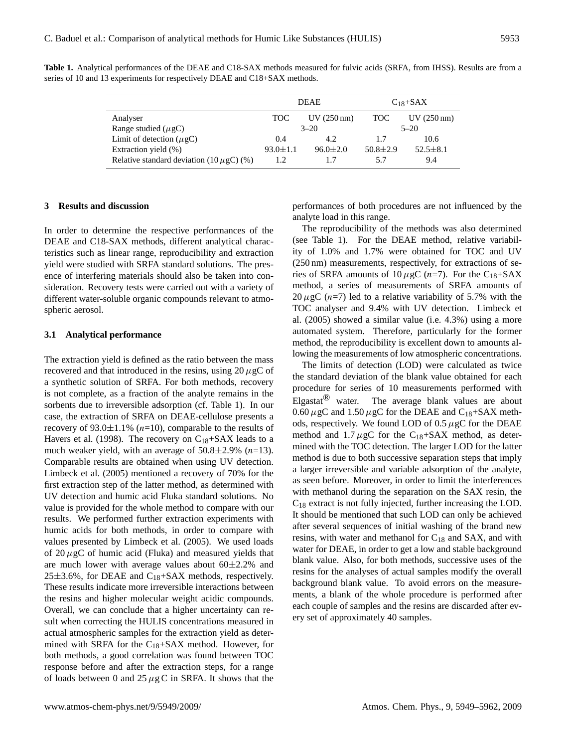|                                               | <b>DEAE</b>    |                      | $C_{18}$ +SAX  |                      |
|-----------------------------------------------|----------------|----------------------|----------------|----------------------|
| Analyser                                      | TOC            | $UV(250 \text{ nm})$ | TOC.           | $UV(250 \text{ nm})$ |
| Range studied ( $\mu$ gC)                     | $3 - 20$       |                      | $5 - 20$       |                      |
| Limit of detection $(\mu gC)$                 | 0.4            | 4.2                  | 1.7            | 10.6                 |
| Extraction yield (%)                          | $93.0 \pm 1.1$ | $96.0 \pm 2.0$       | $50.8 \pm 2.9$ | $52.5 \pm 8.1$       |
| Relative standard deviation (10 $\mu$ gC) (%) | 1.2            |                      | 5.7            | 9.4                  |

**Table 1.** Analytical performances of the DEAE and C18-SAX methods measured for fulvic acids (SRFA, from IHSS). Results are from a series of 10 and 13 experiments for respectively DEAE and C18+SAX methods.

## **3 Results and discussion**

In order to determine the respective performances of the DEAE and C18-SAX methods, different analytical characteristics such as linear range, reproducibility and extraction yield were studied with SRFA standard solutions. The presence of interfering materials should also be taken into consideration. Recovery tests were carried out with a variety of different water-soluble organic compounds relevant to atmospheric aerosol.

#### **3.1 Analytical performance**

The extraction yield is defined as the ratio between the mass recovered and that introduced in the resins, using  $20 \mu$ gC of a synthetic solution of SRFA. For both methods, recovery is not complete, as a fraction of the analyte remains in the sorbents due to irreversible adsorption (cf. Table 1). In our case, the extraction of SRFA on DEAE-cellulose presents a recovery of 93.0 $\pm$ 1.1% (*n*=10), comparable to the results of Havers et al. (1998). The recovery on  $C_{18}$ +SAX leads to a much weaker yield, with an average of  $50.8 \pm 2.9\%$  (n=13). Comparable results are obtained when using UV detection. Limbeck et al. (2005) mentioned a recovery of 70% for the first extraction step of the latter method, as determined with UV detection and humic acid Fluka standard solutions. No value is provided for the whole method to compare with our results. We performed further extraction experiments with humic acids for both methods, in order to compare with values presented by Limbeck et al. (2005). We used loads of  $20 \mu$ gC of humic acid (Fluka) and measured yields that are much lower with average values about  $60\pm2.2\%$  and  $25\pm3.6$ %, for DEAE and C<sub>18</sub>+SAX methods, respectively. These results indicate more irreversible interactions between the resins and higher molecular weight acidic compounds. Overall, we can conclude that a higher uncertainty can result when correcting the HULIS concentrations measured in actual atmospheric samples for the extraction yield as determined with SRFA for the  $C_{18}+SAX$  method. However, for both methods, a good correlation was found between TOC response before and after the extraction steps, for a range of loads between 0 and 25  $\mu$ g C in SRFA. It shows that the

performances of both procedures are not influenced by the analyte load in this range.

The reproducibility of the methods was also determined (see Table 1). For the DEAE method, relative variability of 1.0% and 1.7% were obtained for TOC and UV (250 nm) measurements, respectively, for extractions of series of SRFA amounts of  $10 \mu$ gC (*n*=7). For the C<sub>18</sub>+SAX method, a series of measurements of SRFA amounts of  $20 \mu$ gC (n=7) led to a relative variability of 5.7% with the TOC analyser and 9.4% with UV detection. Limbeck et al. (2005) showed a similar value (i.e. 4.3%) using a more automated system. Therefore, particularly for the former method, the reproducibility is excellent down to amounts allowing the measurements of low atmospheric concentrations.

The limits of detection (LOD) were calculated as twice the standard deviation of the blank value obtained for each procedure for series of 10 measurements performed with Elgastat<sup> $\mathbb{B}$ </sup> water. The average blank values are about  $0.60 \,\mu$ gC and  $1.50 \,\mu$ gC for the DEAE and C<sub>18</sub>+SAX methods, respectively. We found LOD of  $0.5 \mu$ gC for the DEAE method and  $1.7 \mu$ gC for the C<sub>18</sub>+SAX method, as determined with the TOC detection. The larger LOD for the latter method is due to both successive separation steps that imply a larger irreversible and variable adsorption of the analyte, as seen before. Moreover, in order to limit the interferences with methanol during the separation on the SAX resin, the C<sup>18</sup> extract is not fully injected, further increasing the LOD. It should be mentioned that such LOD can only be achieved after several sequences of initial washing of the brand new resins, with water and methanol for  $C_{18}$  and SAX, and with water for DEAE, in order to get a low and stable background blank value. Also, for both methods, successive uses of the resins for the analyses of actual samples modify the overall background blank value. To avoid errors on the measurements, a blank of the whole procedure is performed after each couple of samples and the resins are discarded after every set of approximately 40 samples.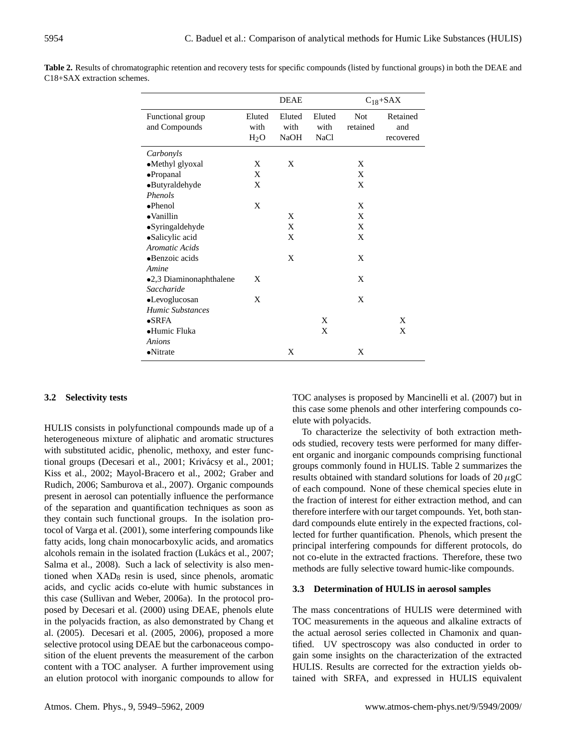|                                   |                | <b>DEAE</b>            |                               |                        | $C_{18}$ +SAX                |
|-----------------------------------|----------------|------------------------|-------------------------------|------------------------|------------------------------|
| Functional group<br>and Compounds | Eluted<br>with | Eluted<br>with<br>NaOH | Eluted<br>with<br><b>NaCl</b> | <b>Not</b><br>retained | Retained<br>and<br>recovered |
|                                   | $H_2O$         |                        |                               |                        |                              |
| Carbonyls                         |                |                        |                               |                        |                              |
| •Methyl glyoxal                   | X              | X                      |                               | X                      |                              |
| ·Propanal                         | X              |                        |                               | X                      |                              |
| •Butyraldehyde                    | X              |                        |                               | X                      |                              |
| <b>Phenols</b>                    |                |                        |                               |                        |                              |
| $\bullet$ Phenol                  | X              |                        |                               | X                      |                              |
| $\bullet$ Vanillin                |                | X                      |                               | X                      |                              |
| •Syringaldehyde                   |                | X                      |                               | X                      |                              |
| •Salicylic acid                   |                | X                      |                               | X                      |                              |
| <b>Aromatic Acids</b>             |                |                        |                               |                        |                              |
| •Benzoic acids                    |                | X                      |                               | X                      |                              |
| Amine                             |                |                        |                               |                        |                              |
| •2,3 Diaminonaphthalene           | X              |                        |                               | X                      |                              |
| Saccharide                        |                |                        |                               |                        |                              |
| •Levoglucosan                     | X              |                        |                               | X                      |                              |
| <b>Humic Substances</b>           |                |                        |                               |                        |                              |
| $\bullet$ SRFA                    |                |                        | X                             |                        | X                            |
| •Humic Fluka                      |                |                        | X                             |                        | X                            |
| Anions                            |                |                        |                               |                        |                              |
| $\bullet$ Nitrate                 |                | X                      |                               | X                      |                              |

**Table 2.** Results of chromatographic retention and recovery tests for specific compounds (listed by functional groups) in both the DEAE and C18+SAX extraction schemes.

# **3.2 Selectivity tests**

HULIS consists in polyfunctional compounds made up of a heterogeneous mixture of aliphatic and aromatic structures with substituted acidic, phenolic, methoxy, and ester functional groups (Decesari et al., 2001; Krivácsy et al., 2001; Kiss et al., 2002; Mayol-Bracero et al., 2002; Graber and Rudich, 2006; Samburova et al., 2007). Organic compounds present in aerosol can potentially influence the performance of the separation and quantification techniques as soon as they contain such functional groups. In the isolation protocol of Varga et al. (2001), some interfering compounds like fatty acids, long chain monocarboxylic acids, and aromatics alcohols remain in the isolated fraction (Lukács et al., 2007; Salma et al., 2008). Such a lack of selectivity is also mentioned when  $XAD_8$  resin is used, since phenols, aromatic acids, and cyclic acids co-elute with humic substances in this case (Sullivan and Weber, 2006a). In the protocol proposed by Decesari et al. (2000) using DEAE, phenols elute in the polyacids fraction, as also demonstrated by Chang et al. (2005). Decesari et al. (2005, 2006), proposed a more selective protocol using DEAE but the carbonaceous composition of the eluent prevents the measurement of the carbon content with a TOC analyser. A further improvement using an elution protocol with inorganic compounds to allow for TOC analyses is proposed by Mancinelli et al. (2007) but in this case some phenols and other interfering compounds coelute with polyacids.

To characterize the selectivity of both extraction methods studied, recovery tests were performed for many different organic and inorganic compounds comprising functional groups commonly found in HULIS. Table 2 summarizes the results obtained with standard solutions for loads of  $20 \mu gC$ of each compound. None of these chemical species elute in the fraction of interest for either extraction method, and can therefore interfere with our target compounds. Yet, both standard compounds elute entirely in the expected fractions, collected for further quantification. Phenols, which present the principal interfering compounds for different protocols, do not co-elute in the extracted fractions. Therefore, these two methods are fully selective toward humic-like compounds.

#### **3.3 Determination of HULIS in aerosol samples**

The mass concentrations of HULIS were determined with TOC measurements in the aqueous and alkaline extracts of the actual aerosol series collected in Chamonix and quantified. UV spectroscopy was also conducted in order to gain some insights on the characterization of the extracted HULIS. Results are corrected for the extraction yields obtained with SRFA, and expressed in HULIS equivalent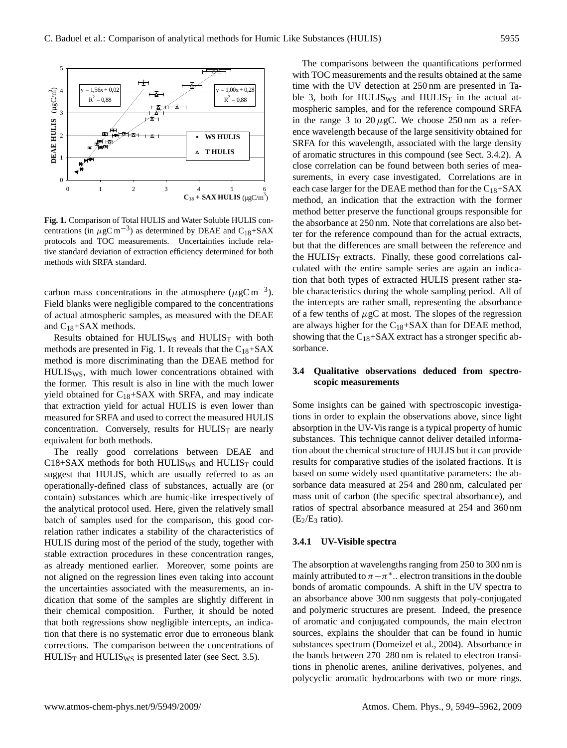

centrations (in  $\mu$ gC m<sup>-3</sup>) as determined by DEAE and C<sub>18</sub>+SAX ter 1 protocols and TOC measurements. Uncertainties meade text but<br>tive standard deviation of extraction efficiency determined for both methods with SRFA standard. **Fig. 1.** Comparison of Total HULIS and Water Soluble HULIS conprotocols and TOC measurements. Uncertainties include rela-

carbon mass concentrations in the atmosphere  $(\mu g C m^{-3})$ . Field blanks were negligible compared to the concentrations of actual atmospheric samples, as measured with the DEAE and C18+SAX methods.

Results obtained for HULIS<sub>WS</sub> and HULIS<sub>T</sub> with both methods are presented in Fig. 1. It reveals that the  $C_{18}+SAX$ method is more discriminating than the DEAE method for HULISWS, with much lower concentrations obtained with the former. This result is also in line with the much lower yield obtained for  $C_{18}+SAX$  with SRFA, and may indicate that extraction yield for actual HULIS is even lower than measured for SRFA and used to correct the measured HULIS concentration. Conversely, results for  $HULIS<sub>T</sub>$  are nearly equivalent for both methods.

The really good correlations between DEAE and  $C18+SAX$  methods for both HULIS<sub>WS</sub> and HULIS<sub>T</sub> could suggest that HULIS, which are usually referred to as an operationally-defined class of substances, actually are (or contain) substances which are humic-like irrespectively of the analytical protocol used. Here, given the relatively small batch of samples used for the comparison, this good correlation rather indicates a stability of the characteristics of HULIS during most of the period of the study, together with stable extraction procedures in these concentration ranges, as already mentioned earlier. Moreover, some points are not aligned on the regression lines even taking into account the uncertainties associated with the measurements, an indication that some of the samples are slightly different in their chemical composition. Further, it should be noted that both regressions show negligible intercepts, an indication that there is no systematic error due to erroneous blank corrections. The comparison between the concentrations of  $HULIS_T$  and  $HULIS_{WS}$  is presented later (see Sect. 3.5).

The comparisons between the quantifications performed with TOC measurements and the results obtained at the same time with the UV detection at 250 nm are presented in Table 3, both for HULIS<sub>WS</sub> and HULIS<sub>T</sub> in the actual atmospheric samples, and for the reference compound SRFA in the range 3 to  $20 \mu$ gC. We choose 250 nm as a reference wavelength because of the large sensitivity obtained for SRFA for this wavelength, associated with the large density of aromatic structures in this compound (see Sect. 3.4.2). A close correlation can be found between both series of measurements, in every case investigated. Correlations are in each case larger for the DEAE method than for the  $C_{18}+SAX$ method, an indication that the extraction with the former method better preserve the functional groups responsible for the absorbance at 250 nm. Note that correlations are also better for the reference compound than for the actual extracts, but that the differences are small between the reference and the  $HULIS_T$  extracts. Finally, these good correlations calculated with the entire sample series are again an indication that both types of extracted HULIS present rather stable characteristics during the whole sampling period. All of the intercepts are rather small, representing the absorbance of a few tenths of  $\mu$ gC at most. The slopes of the regression are always higher for the  $C_{18}$ +SAX than for DEAE method, showing that the  $C_{18}+SAX$  extract has a stronger specific absorbance.

# **3.4 Qualitative observations deduced from spectroscopic measurements**

 $(E_2/E_3 \text{ ratio}).$ Some insights can be gained with spectroscopic investigations in order to explain the observations above, since light absorption in the UV-Vis range is a typical property of humic substances. This technique cannot deliver detailed information about the chemical structure of HULIS but it can provide results for comparative studies of the isolated fractions. It is based on some widely used quantitative parameters: the absorbance data measured at 254 and 280 nm, calculated per mass unit of carbon (the specific spectral absorbance), and ratios of spectral absorbance measured at 254 and 360 nm

#### **3.4.1 UV-Visible spectra**

The absorption at wavelengths ranging from 250 to 300 nm is mainly attributed to  $\pi - \pi^*$ .. electron transitions in the double bonds of aromatic compounds. A shift in the UV spectra to an absorbance above 300 nm suggests that poly-conjugated and polymeric structures are present. Indeed, the presence of aromatic and conjugated compounds, the main electron sources, explains the shoulder that can be found in humic substances spectrum (Domeizel et al., 2004). Absorbance in the bands between 270–280 nm is related to electron transitions in phenolic arenes, aniline derivatives, polyenes, and polycyclic aromatic hydrocarbons with two or more rings.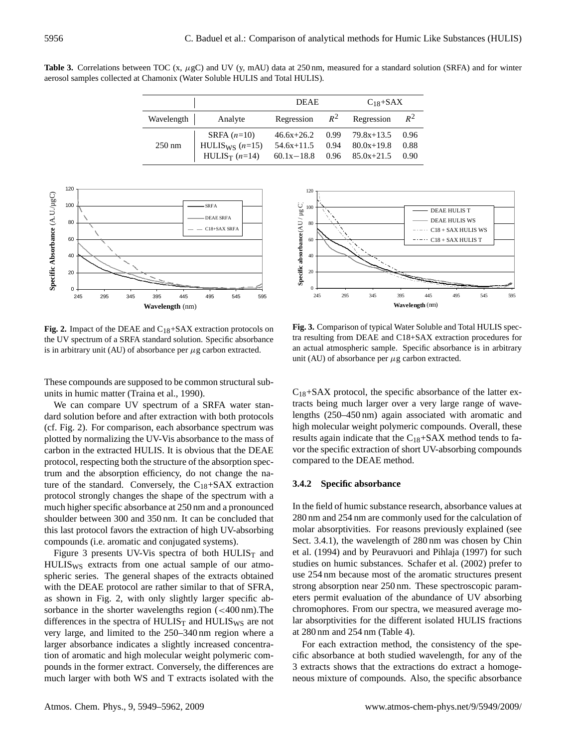Table 3. Correlations between TOC (x,  $\mu$ gC) and UV (y, mAU) data at 250 nm, measured for a standard solution (SRFA) and for winter aerosol samples collected at Chamonix (Water Soluble HULIS and Total HULIS).

|                  |                                                  | <b>DEAE</b>                    |              | $C_{18}$ +SAX                  |              |  |
|------------------|--------------------------------------------------|--------------------------------|--------------|--------------------------------|--------------|--|
| Wavelength       | Analyte                                          | Regression                     |              | $R^2$ Regression               | $R^2$        |  |
|                  | SRFA $(n=10)$                                    | $46.6x + 26.2$                 | 0.99         | $79.8x+13.5$                   | 0.96         |  |
| $250 \text{ nm}$ | HULIS <sub>WS</sub> $(n=15)$<br>$HULIS_T (n=14)$ | $54.6x+11.5$<br>$60.1x - 18.8$ | 0.94<br>0.96 | $80.0x+19.8$<br>$85.0x + 21.5$ | 0.88<br>0.90 |  |



Fig. 2. Impact of the DEAE and C<sub>18</sub>+SAX extraction protocols on the UV spectrum of a SRFA standard solution. Specific absorbance is in arbitrary unit (AU) of absorbance per  $\mu$ g carbon extracted.

These compounds are supposed to be common structural subunits in humic matter (Traina et al., 1990).

We can compare UV spectrum of a SRFA water standard solution before and after extraction with both protocols (cf. Fig. 2). For comparison, each absorbance spectrum was plotted by normalizing the UV-Vis absorbance to the mass of carbon in the extracted HULIS. It is obvious that the DEAE protocol, respecting both the structure of the absorption spectrum and the absorption efficiency, do not change the nature of the standard. Conversely, the  $C_{18}$ +SAX extraction protocol strongly changes the shape of the spectrum with a much higher specific absorbance at 250 nm and a pronounced shoulder between 300 and 350 nm. It can be concluded that this last protocol favors the extraction of high UV-absorbing compounds (i.e. aromatic and conjugated systems).

Figure 3 presents UV-Vis spectra of both HULIS $_T$  and HULISWS extracts from one actual sample of our atmospheric series. The general shapes of the extracts obtained with the DEAE protocol are rather similar to that of SFRA, as shown in Fig. 2, with only slightly larger specific absorbance in the shorter wavelengths region (<400 nm). The differences in the spectra of  $HULIS_T$  and  $HULIS_{WS}$  are not very large, and limited to the 250–340 nm region where a larger absorbance indicates a slightly increased concentration of aromatic and high molecular weight polymeric compounds in the former extract. Conversely, the differences are much larger with both WS and T extracts isolated with the



**DEA** SAX COMPATISON OF CYPICAL WATER SOLADIC and TOTAL TICELES Specific sample. Fig. 3. Comparison of typical Water Soluble and Total HULIS spectral resulting from DEAE and C18+SAX extraction procedures for an actual atmospheric sample. Specific absorbance is in arbitrary unit (AU) of absorbance per  $\mu$ g carbon extracted.

 $C_{18}$ +SAX protocol, the specific absorbance of the latter extracts being much larger over a very large range of wavelengths (250–450 nm) again associated with aromatic and high molecular weight polymeric compounds. Overall, these results again indicate that the  $C_{18}+SAX$  method tends to favor the specific extraction of short UV-absorbing compounds compared to the DEAE method.

#### **3.4.2 Specific absorbance**

In the field of humic substance research, absorbance values at 280 nm and 254 nm are commonly used for the calculation of molar absorptivities. For reasons previously explained (see Sect. 3.4.1), the wavelength of 280 nm was chosen by Chin et al. (1994) and by Peuravuori and Pihlaja (1997) for such studies on humic substances. Schafer et al. (2002) prefer to use 254 nm because most of the aromatic structures present strong absorption near 250 nm. These spectroscopic parameters permit evaluation of the abundance of UV absorbing chromophores. From our spectra, we measured average molar absorptivities for the different isolated HULIS fractions at 280 nm and 254 nm (Table 4).

For each extraction method, the consistency of the specific absorbance at both studied wavelength, for any of the 3 extracts shows that the extractions do extract a homogeneous mixture of compounds. Also, the specific absorbance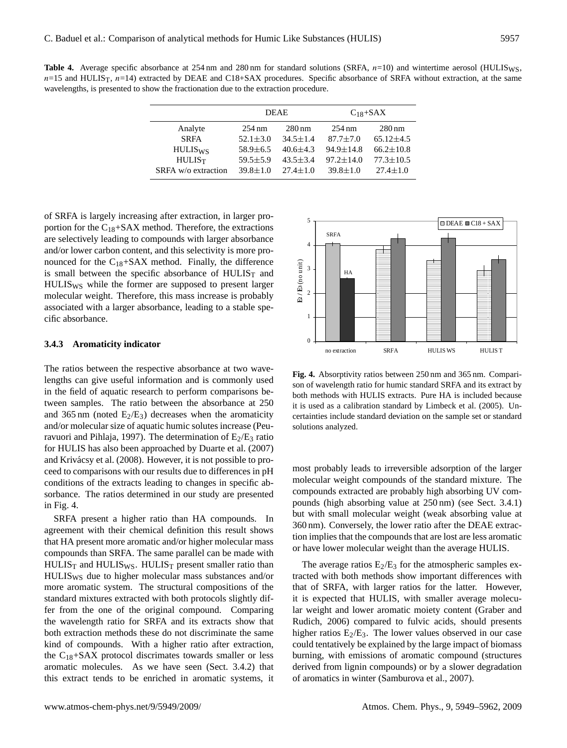Table 4. Average specific absorbance at 254 nm and 280 nm for standard solutions (SRFA,  $n=10$ ) and wintertime aerosol (HULIS<sub>WS</sub>,  $n=15$  and HULIS<sub>T</sub>,  $n=14$ ) extracted by DEAE and C18+SAX procedures. Specific absorbance of SRFA without extraction, at the same wavelengths, is presented to show the fractionation due to the extraction procedure.

|                     | <b>DEAE</b>      |                     | $C_{18}$ +SAX    |                     |  |
|---------------------|------------------|---------------------|------------------|---------------------|--|
| Analyte             | $254 \text{ nm}$ | $280 \,\mathrm{nm}$ | $254 \text{ nm}$ | $280 \,\mathrm{nm}$ |  |
| <b>SRFA</b>         | $52.1 \pm 3.0$   | $34.5 \pm 1.4$      | $87.7 \pm 7.0$   | $65.12 \pm 4.5$     |  |
| $HULIS_{WS}$        | $58.9 \pm 6.5$   | $40.6 \pm 4.3$      | $94.9 \pm 14.8$  | $66.2 \pm 10.8$     |  |
| HULIS <sub>T</sub>  | $59.5 \pm 5.9$   | $43.5 \pm 3.4$      | $97.2 \pm 14.0$  | $77.3 \pm 10.5$     |  |
| SRFA w/o extraction | $39.8 \pm 1.0$   | $27.4 \pm 1.0$      | $39.8 \pm 1.0$   | $27.4 \pm 1.0$      |  |

of SRFA is largely increasing after extraction, in larger proportion for the  $C_{18}$ +SAX method. Therefore, the extractions are selectively leading to compounds with larger absorbance and/or lower carbon content, and this selectivity is more pronounced for the  $C_{18}$ +SAX method. Finally, the difference is small between the specific absorbance of  $HULIS<sub>T</sub>$  and HULISWS while the former are supposed to present larger molecular weight. Therefore, this mass increase is probably associated with a larger absorbance, leading to a stable specific absorbance.

#### **3.4.3 Aromaticity indicator**

The ratios between the respective absorbance at two wavelengths can give useful information and is commonly used in the field of aquatic research to perform comparisons between samples. The ratio between the absorbance at 250 and 365 nm (noted  $E_2/E_3$ ) decreases when the aromaticity and/or molecular size of aquatic humic solutes increase (Peuravuori and Pihlaja, 1997). The determination of  $E_2/E_3$  ratio for HULIS has also been approached by Duarte et al. (2007) and Krivácsy et al. (2008). However, it is not possible to proceed to comparisons with our results due to differences in pH conditions of the extracts leading to changes in specific absorbance. The ratios determined in our study are presented in Fig. 4.

SRFA present a higher ratio than HA compounds. In agreement with their chemical definition this result shows that HA present more aromatic and/or higher molecular mass compounds than SRFA. The same parallel can be made with  $HULIS_T$  and  $HULIS_{WS}$ .  $HULIS_T$  present smaller ratio than HULISWS due to higher molecular mass substances and/or more aromatic system. The structural compositions of the standard mixtures extracted with both protocols slightly differ from the one of the original compound. Comparing the wavelength ratio for SRFA and its extracts show that both extraction methods these do not discriminate the same kind of compounds. With a higher ratio after extraction, the  $C_{18}$ +SAX protocol discrimates towards smaller or less aromatic molecules. As we have seen (Sect. 3.4.2) that this extract tends to be enriched in aromatic systems, it



Fig. 4. Absorptivity ratios between 250 nm and 365 nm. Comparison of wavelength ratio for humic standard SRFA and its extract by both methods with HULIS extracts. Pure HA is included because it is used as a calibration standard by Limbeck et al. (2005). Uncertainties include standard deviation on the sample set or standard solutions analyzed.

most probably leads to irreversible adsorption of the larger molecular weight compounds of the standard mixture. The compounds extracted are probably high absorbing UV compounds (high absorbing value at 250 nm) (see Sect. 3.4.1) but with small molecular weight (weak absorbing value at 360 nm). Conversely, the lower ratio after the DEAE extraction implies that the compounds that are lost are less aromatic or have lower molecular weight than the average HULIS.

The average ratios  $E_2/E_3$  for the atmospheric samples extracted with both methods show important differences with that of SRFA, with larger ratios for the latter. However, it is expected that HULIS, with smaller average molecular weight and lower aromatic moiety content (Graber and Rudich, 2006) compared to fulvic acids, should presents higher ratios  $E_2/E_3$ . The lower values observed in our case could tentatively be explained by the large impact of biomass burning, with emissions of aromatic compound (structures derived from lignin compounds) or by a slower degradation of aromatics in winter (Samburova et al., 2007).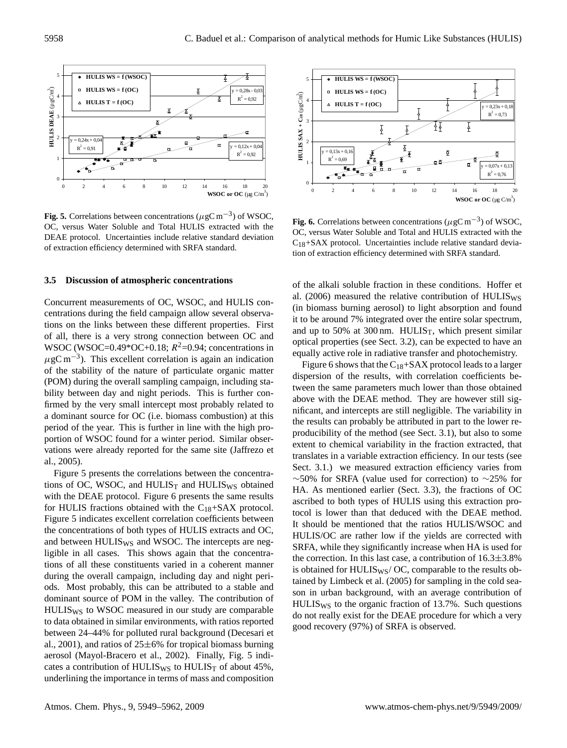

Fig. 5. Correlations between concentrations ( $\mu$ gC m<sup>-3</sup>) of WSOC, OC, versus Water Soluble and Total HULIS extracted with the DEAE protocol. Uncertainties include relative standard deviation of extraction efficiency determined with SRFA standard.

#### **3.5 Discussion of atmospheric concentrations**

Concurrent measurements of OC, WSOC, and HULIS concentrations during the field campaign allow several observations on the links between these different properties. First of all, there is a very strong connection between OC and WSOC (WSOC=0.49\*OC+0.18;  $R^2$ =0.94; concentrations in  $\mu$ gC m<sup>-3</sup>). This excellent correlation is again an indication of the stability of the nature of particulate organic matter (POM) during the overall sampling campaign, including stability between day and night periods. This is further confirmed by the very small intercept most probably related to a dominant source for OC (i.e. biomass combustion) at this period of the year. This is further in line with the high proportion of WSOC found for a winter period. Similar observations were already reported for the same site (Jaffrezo et al., 2005).

Figure 5 presents the correlations between the concentrations of OC, WSOC, and  $HULIS_T$  and  $HULIS_{WS}$  obtained with the DEAE protocol. Figure 6 presents the same results for HULIS fractions obtained with the  $C_{18}$ +SAX protocol. Figure 5 indicates excellent correlation coefficients between the concentrations of both types of HULIS extracts and OC, and between HULIS<sub>WS</sub> and WSOC. The intercepts are negligible in all cases. This shows again that the concentrations of all these constituents varied in a coherent manner during the overall campaign, including day and night periods. Most probably, this can be attributed to a stable and dominant source of POM in the valley. The contribution of HULISWS to WSOC measured in our study are comparable to data obtained in similar environments, with ratios reported between 24–44% for polluted rural background (Decesari et al., 2001), and ratios of  $25\pm6%$  for tropical biomass burning aerosol (Mayol-Bracero et al., 2002). Finally, Fig. 5 indicates a contribution of HULIS<sub>WS</sub> to HULIS<sub>T</sub> of about  $45\%$ , underlining the importance in terms of mass and composition



Fig. 6. Correlations between concentrations ( $\mu$ gC m<sup>-3</sup>) of WSOC, OC, versus Water Soluble and Total and HULIS extracted with the  $C_{18}+SAX$  protocol. Uncertainties include relative standard deviation of extraction efficiency determined with SRFA standard.

of the alkali soluble fraction in these conditions. Hoffer et al. (2006) measured the relative contribution of HULIS<sub>WS</sub> (in biomass burning aerosol) to light absorption and found it to be around 7% integrated over the entire solar spectrum, and up to 50% at 300 nm.  $HULIS_T$ , which present similar optical properties (see Sect. 3.2), can be expected to have an equally active role in radiative transfer and photochemistry.

Figure 6 shows that the  $C_{18}+SAX$  protocol leads to a larger dispersion of the results, with correlation coefficients between the same parameters much lower than those obtained above with the DEAE method. They are however still significant, and intercepts are still negligible. The variability in the results can probably be attributed in part to the lower reproducibility of the method (see Sect. 3.1), but also to some extent to chemical variability in the fraction extracted, that translates in a variable extraction efficiency. In our tests (see Sect. 3.1.) we measured extraction efficiency varies from  $~\sim$ 50% for SRFA (value used for correction) to  $~\sim$ 25% for HA. As mentioned earlier (Sect. 3.3), the fractions of OC ascribed to both types of HULIS using this extraction protocol is lower than that deduced with the DEAE method. It should be mentioned that the ratios HULIS/WSOC and HULIS/OC are rather low if the yields are corrected with SRFA, while they significantly increase when HA is used for the correction. In this last case, a contribution of  $16.3\pm3.8\%$ is obtained for  $HULIS_{WS}/OC$ , comparable to the results obtained by Limbeck et al. (2005) for sampling in the cold season in urban background, with an average contribution of HULISWS to the organic fraction of 13.7%. Such questions do not really exist for the DEAE procedure for which a very good recovery (97%) of SRFA is observed.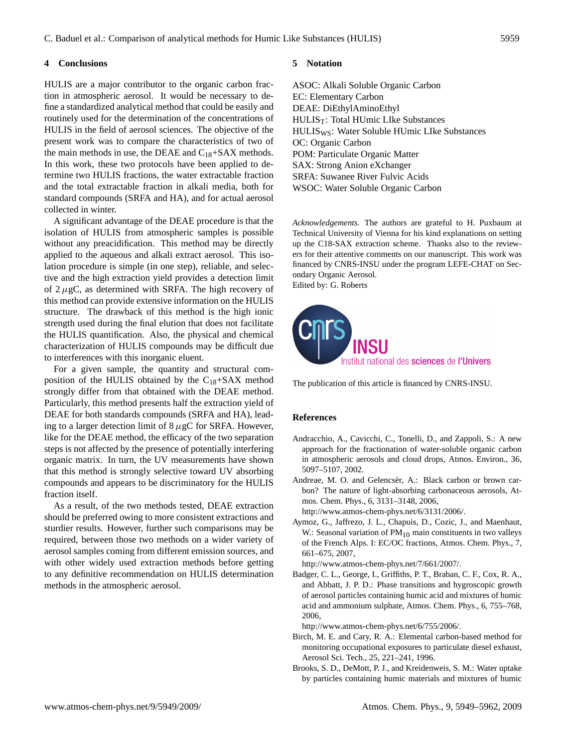## **4 Conclusions**

HULIS are a major contributor to the organic carbon fraction in atmospheric aerosol. It would be necessary to define a standardized analytical method that could be easily and routinely used for the determination of the concentrations of HULIS in the field of aerosol sciences. The objective of the present work was to compare the characteristics of two of the main methods in use, the DEAE and  $C_{18}$ +SAX methods. In this work, these two protocols have been applied to determine two HULIS fractions, the water extractable fraction and the total extractable fraction in alkali media, both for standard compounds (SRFA and HA), and for actual aerosol collected in winter.

A significant advantage of the DEAE procedure is that the isolation of HULIS from atmospheric samples is possible without any preacidification. This method may be directly applied to the aqueous and alkali extract aerosol. This isolation procedure is simple (in one step), reliable, and selective and the high extraction yield provides a detection limit of  $2 \mu$ gC, as determined with SRFA. The high recovery of this method can provide extensive information on the HULIS structure. The drawback of this method is the high ionic strength used during the final elution that does not facilitate the HULIS quantification. Also, the physical and chemical characterization of HULIS compounds may be difficult due to interferences with this inorganic eluent.

For a given sample, the quantity and structural composition of the HULIS obtained by the  $C_{18}$ +SAX method strongly differ from that obtained with the DEAE method. Particularly, this method presents half the extraction yield of DEAE for both standards compounds (SRFA and HA), leading to a larger detection limit of  $8 \mu gC$  for SRFA. However, like for the DEAE method, the efficacy of the two separation steps is not affected by the presence of potentially interfering organic matrix. In turn, the UV measurements have shown that this method is strongly selective toward UV absorbing compounds and appears to be discriminatory for the HULIS fraction itself.

As a result, of the two methods tested, DEAE extraction should be preferred owing to more consistent extractions and sturdier results. However, further such comparisons may be required, between those two methods on a wider variety of aerosol samples coming from different emission sources, and with other widely used extraction methods before getting to any definitive recommendation on HULIS determination methods in the atmospheric aerosol.

#### **5 Notation**

ASOC: Alkali Soluble Organic Carbon EC: Elementary Carbon DEAE: DiEthylAminoEthyl  $HULIS_T$ : Total  $HUmic$  LIke Substances HULISWS: Water Soluble HUmic LIke Substances OC: Organic Carbon POM: Particulate Organic Matter SAX: Strong Anion eXchanger SRFA: Suwanee River Fulvic Acids WSOC: Water Soluble Organic Carbon

*Acknowledgements.* The authors are grateful to H. Puxbaum at Technical University of Vienna for his kind explanations on setting up the C18-SAX extraction scheme. Thanks also to the reviewers for their attentive comments on our manuscript. This work was financed by CNRS-INSU under the program LEFE-CHAT on Secondary Organic Aerosol.

Edited by: G. Roberts



The publication of this article is financed by CNRS-INSU.

#### **References**

- Andracchio, A., Cavicchi, C., Tonelli, D., and Zappoli, S.: A new approach for the fractionation of water-soluble organic carbon in atmospheric aerosols and cloud drops, Atmos. Environ., 36, 5097–5107, 2002.
- Andreae, M. O. and Gelencsér, A.: Black carbon or brown carbon? The nature of light-absorbing carbonaceous aerosols, Atmos. Chem. Phys., 6, 3131–3148, 2006,
	- [http://www.atmos-chem-phys.net/6/3131/2006/.](http://www.atmos-chem-phys.net/6/3131/2006/)
- Aymoz, G., Jaffrezo, J. L., Chapuis, D., Cozic, J., and Maenhaut, W.: Seasonal variation of  $PM_{10}$  main constituents in two valleys of the French Alps. I: EC/OC fractions, Atmos. Chem. Phys., 7, 661–675, 2007,

[http://www.atmos-chem-phys.net/7/661/2007/.](http://www.atmos-chem-phys.net/7/661/2007/)

Badger, C. L., George, I., Griffiths, P. T., Braban, C. F., Cox, R. A., and Abbatt, J. P. D.: Phase transitions and hygroscopic growth of aerosol particles containing humic acid and mixtures of humic acid and ammonium sulphate, Atmos. Chem. Phys., 6, 755–768, 2006,

[http://www.atmos-chem-phys.net/6/755/2006/.](http://www.atmos-chem-phys.net/6/755/2006/)

- Birch, M. E. and Cary, R. A.: Elemental carbon-based method for monitoring occupational exposures to particulate diesel exhaust, Aerosol Sci. Tech., 25, 221–241, 1996.
- Brooks, S. D., DeMott, P. J., and Kreidenweis, S. M.: Water uptake by particles containing humic materials and mixtures of humic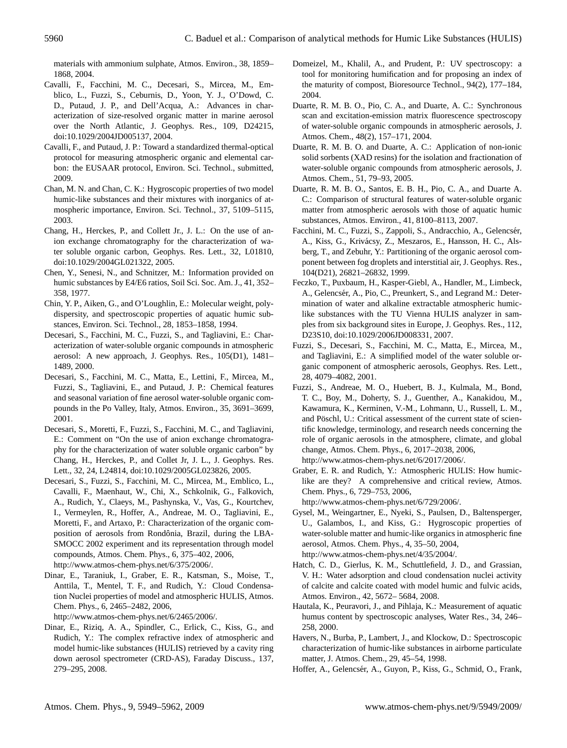materials with ammonium sulphate, Atmos. Environ., 38, 1859– 1868, 2004.

- Cavalli, F., Facchini, M. C., Decesari, S., Mircea, M., Emblico, L., Fuzzi, S., Ceburnis, D., Yoon, Y. J., O'Dowd, C. D., Putaud, J. P., and Dell'Acqua, A.: Advances in characterization of size-resolved organic matter in marine aerosol over the North Atlantic, J. Geophys. Res., 109, D24215, doi:10.1029/2004JD005137, 2004.
- Cavalli, F., and Putaud, J. P.: Toward a standardized thermal-optical protocol for measuring atmospheric organic and elemental carbon: the EUSAAR protocol, Environ. Sci. Technol., submitted, 2009.
- Chan, M. N. and Chan, C. K.: Hygroscopic properties of two model humic-like substances and their mixtures with inorganics of atmospheric importance, Environ. Sci. Technol., 37, 5109–5115, 2003.
- Chang, H., Herckes, P., and Collett Jr., J. L.: On the use of anion exchange chromatography for the characterization of water soluble organic carbon, Geophys. Res. Lett., 32, L01810, doi:10.1029/2004GL021322, 2005.
- Chen, Y., Senesi, N., and Schnitzer, M.: Information provided on humic substances by E4/E6 ratios, Soil Sci. Soc. Am. J., 41, 352– 358, 1977.
- Chin, Y. P., Aiken, G., and O'Loughlin, E.: Molecular weight, polydispersity, and spectroscopic properties of aquatic humic substances, Environ. Sci. Technol., 28, 1853–1858, 1994.
- Decesari, S., Facchini, M. C., Fuzzi, S., and Tagliavini, E.: Characterization of water-soluble organic compounds in atmospheric aerosol: A new approach, J. Geophys. Res., 105(D1), 1481– 1489, 2000.
- Decesari, S., Facchini, M. C., Matta, E., Lettini, F., Mircea, M., Fuzzi, S., Tagliavini, E., and Putaud, J. P.: Chemical features and seasonal variation of fine aerosol water-soluble organic compounds in the Po Valley, Italy, Atmos. Environ., 35, 3691–3699, 2001.
- Decesari, S., Moretti, F., Fuzzi, S., Facchini, M. C., and Tagliavini, E.: Comment on "On the use of anion exchange chromatography for the characterization of water soluble organic carbon" by Chang, H., Herckes, P., and Collet Jr, J. L., J. Geophys. Res. Lett., 32, 24, L24814, doi:10.1029/2005GL023826, 2005.
- Decesari, S., Fuzzi, S., Facchini, M. C., Mircea, M., Emblico, L., Cavalli, F., Maenhaut, W., Chi, X., Schkolnik, G., Falkovich, A., Rudich, Y., Claeys, M., Pashynska, V., Vas, G., Kourtchev, I., Vermeylen, R., Hoffer, A., Andreae, M. O., Tagliavini, E., Moretti, F., and Artaxo, P.: Characterization of the organic composition of aerosols from Rondônia, Brazil, during the LBA-SMOCC 2002 experiment and its representation through model compounds, Atmos. Chem. Phys., 6, 375–402, 2006, [http://www.atmos-chem-phys.net/6/375/2006/.](http://www.atmos-chem-phys.net/6/375/2006/)
- Dinar, E., Taraniuk, I., Graber, E. R., Katsman, S., Moise, T., Anttila, T., Mentel, T. F., and Rudich, Y.: Cloud Condensation Nuclei properties of model and atmospheric HULIS, Atmos. Chem. Phys., 6, 2465–2482, 2006,

[http://www.atmos-chem-phys.net/6/2465/2006/.](http://www.atmos-chem-phys.net/6/2465/2006/)

Dinar, E., Riziq, A. A., Spindler, C., Erlick, C., Kiss, G., and Rudich, Y.: The complex refractive index of atmospheric and model humic-like substances (HULIS) retrieved by a cavity ring down aerosol spectrometer (CRD-AS), Faraday Discuss., 137, 279–295, 2008.

- Domeizel, M., Khalil, A., and Prudent, P.: UV spectroscopy: a tool for monitoring humification and for proposing an index of the maturity of compost, Bioresource Technol., 94(2), 177–184, 2004.
- Duarte, R. M. B. O., Pio, C. A., and Duarte, A. C.: Synchronous scan and excitation-emission matrix fluorescence spectroscopy of water-soluble organic compounds in atmospheric aerosols, J. Atmos. Chem., 48(2), 157–171, 2004.
- Duarte, R. M. B. O. and Duarte, A. C.: Application of non-ionic solid sorbents (XAD resins) for the isolation and fractionation of water-soluble organic compounds from atmospheric aerosols, J. Atmos. Chem., 51, 79–93, 2005.
- Duarte, R. M. B. O., Santos, E. B. H., Pio, C. A., and Duarte A. C.: Comparison of structural features of water-soluble organic matter from atmospheric aerosols with those of aquatic humic substances, Atmos. Environ., 41, 8100–8113, 2007.
- Facchini, M. C., Fuzzi, S., Zappoli, S., Andracchio, A., Gelencsér, A., Kiss, G., Krivácsy, Z., Meszaros, E., Hansson, H. C., Alsberg, T., and Zebuhr, Y.: Partitioning of the organic aerosol component between fog droplets and interstitial air, J. Geophys. Res., 104(D21), 26821–26832, 1999.
- Feczko, T., Puxbaum, H., Kasper-Giebl, A., Handler, M., Limbeck, A., Gelencsér, A., Pio, C., Preunkert, S., and Legrand M.: Determination of water and alkaline extractable atmospheric humiclike substances with the TU Vienna HULIS analyzer in samples from six background sites in Europe, J. Geophys. Res., 112, D23S10, doi:10.1029/2006JD008331, 2007.
- Fuzzi, S., Decesari, S., Facchini, M. C., Matta, E., Mircea, M., and Tagliavini, E.: A simplified model of the water soluble organic component of atmospheric aerosols, Geophys. Res. Lett., 28, 4079–4082, 2001.
- Fuzzi, S., Andreae, M. O., Huebert, B. J., Kulmala, M., Bond, T. C., Boy, M., Doherty, S. J., Guenther, A., Kanakidou, M., Kawamura, K., Kerminen, V.-M., Lohmann, U., Russell, L. M., and Pöschl, U.: Critical assessment of the current state of scientific knowledge, terminology, and research needs concerning the role of organic aerosols in the atmosphere, climate, and global change, Atmos. Chem. Phys., 6, 2017–2038, 2006, [http://www.atmos-chem-phys.net/6/2017/2006/.](http://www.atmos-chem-phys.net/6/2017/2006/)
- Graber, E. R. and Rudich, Y.: Atmospheric HULIS: How humiclike are they? A comprehensive and critical review, Atmos. Chem. Phys., 6, 729–753, 2006,

[http://www.atmos-chem-phys.net/6/729/2006/.](http://www.atmos-chem-phys.net/6/729/2006/)

- Gysel, M., Weingartner, E., Nyeki, S., Paulsen, D., Baltensperger, U., Galambos, I., and Kiss, G.: Hygroscopic properties of water-soluble matter and humic-like organics in atmospheric fine aerosol, Atmos. Chem. Phys., 4, 35–50, 2004, [http://www.atmos-chem-phys.net/4/35/2004/.](http://www.atmos-chem-phys.net/4/35/2004/)
- Hatch, C. D., Gierlus, K. M., Schuttlefield, J. D., and Grassian, V. H.: Water adsorption and cloud condensation nuclei activity of calcite and calcite coated with model humic and fulvic acids, Atmos. Environ., 42, 5672– 5684, 2008.
- Hautala, K., Peuravori, J., and Pihlaja, K.: Measurement of aquatic humus content by spectroscopic analyses, Water Res., 34, 246– 258, 2000.
- Havers, N., Burba, P., Lambert, J., and Klockow, D.: Spectroscopic characterization of humic-like substances in airborne particulate matter, J. Atmos. Chem., 29, 45–54, 1998.
- Hoffer, A., Gelencsér, A., Guyon, P., Kiss, G., Schmid, O., Frank,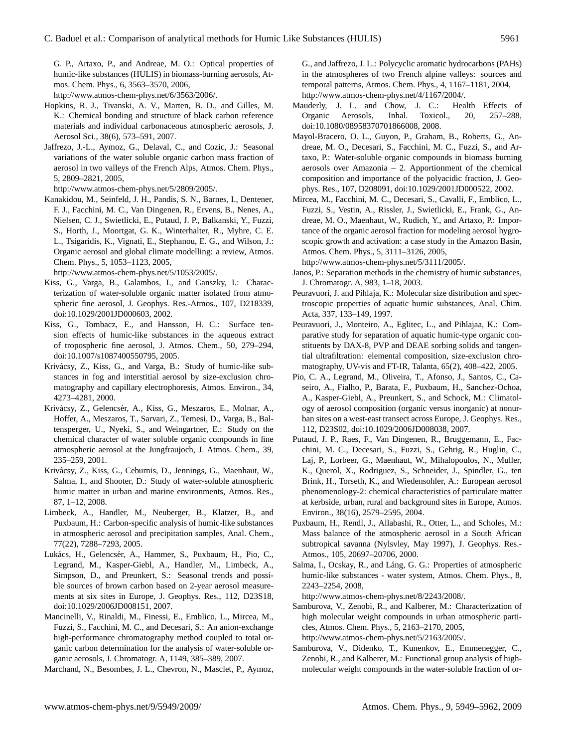G. P., Artaxo, P., and Andreae, M. O.: Optical properties of humic-like substances (HULIS) in biomass-burning aerosols, Atmos. Chem. Phys., 6, 3563–3570, 2006,

[http://www.atmos-chem-phys.net/6/3563/2006/.](http://www.atmos-chem-phys.net/6/3563/2006/)

- Hopkins, R. J., Tivanski, A. V., Marten, B. D., and Gilles, M. K.: Chemical bonding and structure of black carbon reference materials and individual carbonaceous atmospheric aerosols, J. Aerosol Sci., 38(6), 573–591, 2007.
- Jaffrezo, J.-L., Aymoz, G., Delaval, C., and Cozic, J.: Seasonal variations of the water soluble organic carbon mass fraction of aerosol in two valleys of the French Alps, Atmos. Chem. Phys., 5, 2809–2821, 2005,

[http://www.atmos-chem-phys.net/5/2809/2005/.](http://www.atmos-chem-phys.net/5/2809/2005/)

Kanakidou, M., Seinfeld, J. H., Pandis, S. N., Barnes, I., Dentener, F. J., Facchini, M. C., Van Dingenen, R., Ervens, B., Nenes, A., Nielsen, C. J., Swietlicki, E., Putaud, J. P., Balkanski, Y., Fuzzi, S., Horth, J., Moortgat, G. K., Winterhalter, R., Myhre, C. E. L., Tsigaridis, K., Vignati, E., Stephanou, E. G., and Wilson, J.: Organic aerosol and global climate modelling: a review, Atmos. Chem. Phys., 5, 1053–1123, 2005,

[http://www.atmos-chem-phys.net/5/1053/2005/.](http://www.atmos-chem-phys.net/5/1053/2005/)

- Kiss, G., Varga, B., Galambos, I., and Ganszky, I.: Characterization of water-soluble organic matter isolated from atmospheric fine aerosol, J. Geophys. Res.-Atmos., 107, D218339, doi:10.1029/2001JD000603, 2002.
- Kiss, G., Tombacz, E., and Hansson, H. C.: Surface tension effects of humic-like substances in the aqueous extract of tropospheric fine aerosol, J. Atmos. Chem., 50, 279–294, doi:10.1007/s1087400550795, 2005.
- Krivácsy, Z., Kiss, G., and Varga, B.: Study of humic-like substances in fog and interstitial aerosol by size-exclusion chromatography and capillary electrophoresis, Atmos. Environ., 34, 4273–4281, 2000.
- Krivácsy, Z., Gelencsér, A., Kiss, G., Meszaros, E., Molnar, A., Hoffer, A., Meszaros, T., Sarvari, Z., Temesi, D., Varga, B., Baltensperger, U., Nyeki, S., and Weingartner, E.: Study on the chemical character of water soluble organic compounds in fine atmospheric aerosol at the Jungfraujoch, J. Atmos. Chem., 39, 235–259, 2001.
- Krivácsy, Z., Kiss, G., Ceburnis, D., Jennings, G., Maenhaut, W., Salma, I., and Shooter, D.: Study of water-soluble atmospheric humic matter in urban and marine environments, Atmos. Res., 87, 1–12, 2008.
- Limbeck, A., Handler, M., Neuberger, B., Klatzer, B., and Puxbaum, H.: Carbon-specific analysis of humic-like substances in atmospheric aerosol and precipitation samples, Anal. Chem., 77(22), 7288–7293, 2005.
- Lukács, H., Gelencsér, A., Hammer, S., Puxbaum, H., Pio, C., Legrand, M., Kasper-Giebl, A., Handler, M., Limbeck, A., Simpson, D., and Preunkert, S.: Seasonal trends and possible sources of brown carbon based on 2-year aerosol measurements at six sites in Europe, J. Geophys. Res., 112, D23S18, doi:10.1029/2006JD008151, 2007.
- Mancinelli, V., Rinaldi, M., Finessi, E., Emblico, L., Mircea, M., Fuzzi, S., Facchini, M. C., and Decesari, S.: An anion-exchange high-performance chromatography method coupled to total organic carbon determination for the analysis of water-soluble organic aerosols, J. Chromatogr. A, 1149, 385–389, 2007.

Marchand, N., Besombes, J. L., Chevron, N., Masclet, P., Aymoz,

G., and Jaffrezo, J. L.: Polycyclic aromatic hydrocarbons (PAHs) in the atmospheres of two French alpine valleys: sources and temporal patterns, Atmos. Chem. Phys., 4, 1167–1181, 2004, [http://www.atmos-chem-phys.net/4/1167/2004/.](http://www.atmos-chem-phys.net/4/1167/2004/)

- Mauderly, J. L. and Chow, J. C.: Health Effects of Organic Aerosols, Inhal. Toxicol., 20, 257–288, doi:10.1080/08958370701866008, 2008.
- Mayol-Bracero, O. L., Guyon, P., Graham, B., Roberts, G., Andreae, M. O., Decesari, S., Facchini, M. C., Fuzzi, S., and Artaxo, P.: Water-soluble organic compounds in biomass burning aerosols over Amazonia – 2. Apportionment of the chemical composition and importance of the polyacidic fraction, J. Geophys. Res., 107, D208091, doi:10.1029/2001JD000522, 2002.
- Mircea, M., Facchini, M. C., Decesari, S., Cavalli, F., Emblico, L., Fuzzi, S., Vestin, A., Rissler, J., Swietlicki, E., Frank, G., Andreae, M. O., Maenhaut, W., Rudich, Y., and Artaxo, P.: Importance of the organic aerosol fraction for modeling aerosol hygroscopic growth and activation: a case study in the Amazon Basin, Atmos. Chem. Phys., 5, 3111–3126, 2005,

[http://www.atmos-chem-phys.net/5/3111/2005/.](http://www.atmos-chem-phys.net/5/3111/2005/)

- Janos, P.: Separation methods in the chemistry of humic substances, J. Chromatogr. A, 983, 1–18, 2003.
- Peuravuori, J. and Pihlaja, K.: Molecular size distribution and spectroscopic properties of aquatic humic substances, Anal. Chim. Acta, 337, 133–149, 1997.
- Peuravuori, J., Monteiro, A., Eglitec, L., and Pihlajaa, K.: Comparative study for separation of aquatic humic-type organic constituents by DAX-8, PVP and DEAE sorbing solids and tangential ultrafiltration: elemental composition, size-exclusion chromatography, UV-vis and FT-IR, Talanta, 65(2), 408–422, 2005.
- Pio, C. A., Legrand, M., Oliveira, T., Afonso, J., Santos, C., Caseiro, A., Fialho, P., Barata, F., Puxbaum, H., Sanchez-Ochoa, A., Kasper-Giebl, A., Preunkert, S., and Schock, M.: Climatology of aerosol composition (organic versus inorganic) at nonurban sites on a west-east transect across Europe, J. Geophys. Res., 112, D23S02, doi:10.1029/2006JD008038, 2007.
- Putaud, J. P., Raes, F., Van Dingenen, R., Bruggemann, E., Facchini, M. C., Decesari, S., Fuzzi, S., Gehrig, R., Huglin, C., Laj, P., Lorbeer, G., Maenhaut, W., Mihalopoulos, N., Muller, K., Querol, X., Rodriguez, S., Schneider, J., Spindler, G., ten Brink, H., Torseth, K., and Wiedensohler, A.: European aerosol phenomenology-2: chemical characteristics of particulate matter at kerbside, urban, rural and background sites in Europe, Atmos. Environ., 38(16), 2579–2595, 2004.
- Puxbaum, H., Rendl, J., Allabashi, R., Otter, L., and Scholes, M.: Mass balance of the atmospheric aerosol in a South African subtropical savanna (Nylsvley, May 1997), J. Geophys. Res.- Atmos., 105, 20697–20706, 2000.
- Salma, I., Ocskay, R., and Láng, G. G.: Properties of atmospheric humic-like substances - water system, Atmos. Chem. Phys., 8, 2243–2254, 2008,

[http://www.atmos-chem-phys.net/8/2243/2008/.](http://www.atmos-chem-phys.net/8/2243/2008/)

- Samburova, V., Zenobi, R., and Kalberer, M.: Characterization of high molecular weight compounds in urban atmospheric particles, Atmos. Chem. Phys., 5, 2163–2170, 2005, [http://www.atmos-chem-phys.net/5/2163/2005/.](http://www.atmos-chem-phys.net/5/2163/2005/)
- Samburova, V., Didenko, T., Kunenkov, E., Emmenegger, C., Zenobi, R., and Kalberer, M.: Functional group analysis of highmolecular weight compounds in the water-soluble fraction of or-